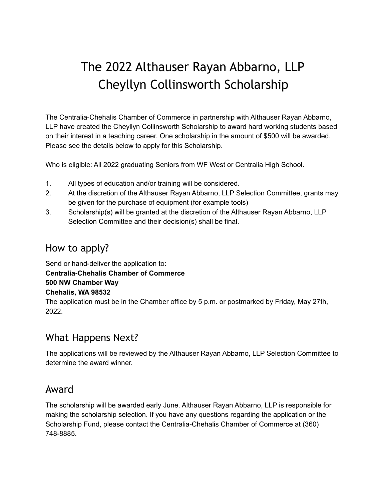## The 2022 Althauser Rayan Abbarno, LLP Cheyllyn Collinsworth Scholarship

The Centralia-Chehalis Chamber of Commerce in partnership with Althauser Rayan Abbarno, LLP have created the Cheyllyn Collinsworth Scholarship to award hard working students based on their interest in a teaching career. One scholarship in the amount of \$500 will be awarded. Please see the details below to apply for this Scholarship.

Who is eligible: All 2022 graduating Seniors from WF West or Centralia High School.

- 1. All types of education and/or training will be considered.
- 2. At the discretion of the Althauser Rayan Abbarno, LLP Selection Committee, grants may be given for the purchase of equipment (for example tools)
- 3. Scholarship(s) will be granted at the discretion of the Althauser Rayan Abbarno, LLP Selection Committee and their decision(s) shall be final.

#### How to apply?

Send or hand-deliver the application to: **Centralia-Chehalis Chamber of Commerce 500 NW Chamber Way Chehalis, WA 98532** The application must be in the Chamber office by 5 p.m. or postmarked by Friday, May 27th, 2022.

#### What Happens Next?

The applications will be reviewed by the Althauser Rayan Abbarno, LLP Selection Committee to determine the award winner.

#### Award

The scholarship will be awarded early June. Althauser Rayan Abbarno, LLP is responsible for making the scholarship selection. If you have any questions regarding the application or the Scholarship Fund, please contact the Centralia-Chehalis Chamber of Commerce at (360) 748-8885.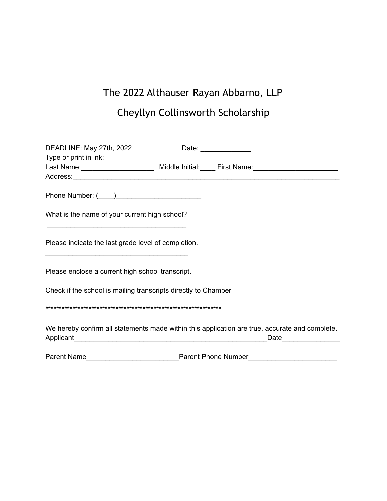### The 2022 Althauser Rayan Abbarno, LLP

### Cheyllyn Collinsworth Scholarship

| DEADLINE: May 27th, 2022                                                                                                                                                                                                                                                                                                         |  | Date: _______________ |                  |
|----------------------------------------------------------------------------------------------------------------------------------------------------------------------------------------------------------------------------------------------------------------------------------------------------------------------------------|--|-----------------------|------------------|
| Type or print in ink:<br>Last Name: _________________________ Middle Initial: _____ First Name: ____________________________                                                                                                                                                                                                     |  |                       |                  |
|                                                                                                                                                                                                                                                                                                                                  |  |                       |                  |
| What is the name of your current high school?                                                                                                                                                                                                                                                                                    |  |                       |                  |
| Please indicate the last grade level of completion.                                                                                                                                                                                                                                                                              |  |                       |                  |
| Please enclose a current high school transcript.                                                                                                                                                                                                                                                                                 |  |                       |                  |
| Check if the school is mailing transcripts directly to Chamber                                                                                                                                                                                                                                                                   |  |                       |                  |
|                                                                                                                                                                                                                                                                                                                                  |  |                       |                  |
| We hereby confirm all statements made within this application are true, accurate and complete.<br>Applicant example and the state of the state of the state of the state of the state of the state of the state of the state of the state of the state of the state of the state of the state of the state of the state of the s |  |                       | Date <b>Date</b> |
| Parent Name                                                                                                                                                                                                                                                                                                                      |  |                       |                  |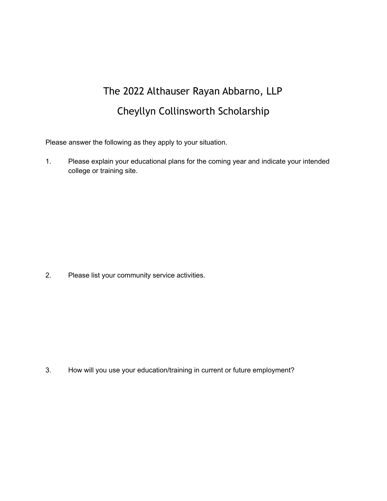# The 2022 Althauser Rayan Abbarno, LLP Cheyllyn Collinsworth Scholarship

Please answer the following as they apply to your situation.

1. Please explain your educational plans for the coming year and indicate your intended college or training site.

2. Please list your community service activities.

3. How will you use your education/training in current or future employment?